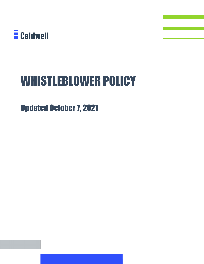

# WHISTLEBLOWER POLICY

Updated October 7, 2021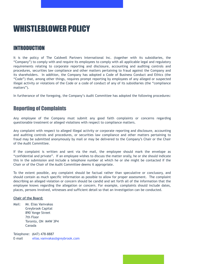# WHISTLEBLOWER POLICY

#### INTRODUCTION

It is the policy of The Caldwell Partners International Inc. (together with its subsidiaries, the "Company") to comply with and require its employees to comply with all applicable legal and regulatory requirements relating to corporate reporting and disclosure, accounting and auditing controls and procedures, securities law compliance and other matters pertaining to fraud against the Company and its shareholders. In addition, the Company has adopted a Code of Business Conduct and Ethics (the "Code") that, among other things, requires prompt reporting by employees of any alleged or suspected illegal activity or violations of the Code or a code of conduct of any of its subsidiaries (the "compliance matters").

In furtherance of the foregoing, the Company's Audit Committee has adopted the following procedures:

## Reporting of Complaints

Any employee of the Company must submit any good faith complaints or concerns regarding questionable treatment or alleged violations with respect to compliance matters.

Any complaint with respect to alleged illegal activity or corporate reporting and disclosure, accounting and auditing controls and procedures, or securities law compliance and other matters pertaining to fraud may be submitted anonymously by mail or may be delivered to the Company's Chair or the Chair of the Audit Committee.

If the complaint is written and sent via the mail, the employee should mark the envelope as "confidential and private". If an employee wishes to discuss the matter orally, he or she should indicate this in the submission and include a telephone number at which he or she might be contacted if the Chair or of the Chair of the Audit Committee deems it appropriate.

To the extent possible, any complaint should be factual rather than speculative or conclusory, and should contain as much specific information as possible to allow for proper assessment. The complaint describing an alleged violation or concern should be candid and set forth all of the information that the employee knows regarding the allegation or concern. For example, complaints should include dates, places, persons involved, witnesses and sufficient detail so that an investigation can be conducted.

#### **Chair of the Board:**

Mail: Mr. Elias Vamvakas Greybrook Capital 890 Yonge Street 7th Floor Toronto, ON M4W 3P4 Canada

Telephone: (647) 478-8887 E-mail [elias.vamvakas@greybrook.com](mailto:elias.vamvakas@greybrook.com)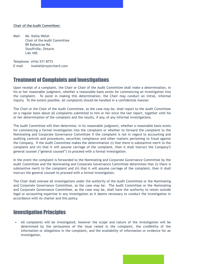#### **Chair of the Audit Committee:**

Mail: Ms. Kathy Welsh Chair of the Audit Committee 89 Ballantrae Rd. Stouffville, Ontario L4A 1M5

Telephone: (416) 571-8773 E-mail kwelsh@royorchard.com

#### Treatment of Complaints and Investigations

Upon receipt of a complaint, the Chair or Chair of the Audit Committee shall make a determination, in his or her reasonable judgment, whether a reasonable basis exists for commencing an investigation into the complaint. To assist in making this determination, the Chair may conduct an initial, informal inquiry. To the extent possible, all complaints should be handled in a confidential manner.

The Chair or the Chair of the Audit Committee, as the case may be, shall report to the Audit Committee on a regular basis about all complaints submitted to him or her since the last report, together with his or her determination of the complaint and the results, if any, of any informal investigations.

The Audit Committee will then determine, in its reasonable judgment, whether a reasonable basis exists for commencing a formal investigation into the complaint or whether to forward the complaint to the Nominating and Corporate Governance Committee if the complaint is not in regard to accounting and auditing controls and procedures, securities compliance and other matters pertaining to fraud against the Company. If the Audit Committee makes the determination (i) that there is substantive merit to the complaint and (ii) that it will assume carriage of the complaint, then it shall instruct the Company's general counsel ("general counsel") to proceed with a formal investigation.

In the event the complaint is forwarded to the Nominating and Corporate Governance Committee by the Audit Committee and the Nominating and Corporate Governance Committee determines that (i) there is substantive merit to the complaint and (ii) that it will assume carriage of the complaint, then it shall instruct the general counsel to proceed with a formal investigation.

The Chair shall oversee all investigations under the authority of the Audit Committee or the Nominating and Corporate Governance Committee, as the case may be. The Audit Committee or the Nominating and Corporate Governance Committee, as the case may be, shall have the authority to retain outside legal or accounting expertise in any investigation as it deems necessary to conduct the investigation in accordance with its charter and this policy.

#### Investigation Principles

• All complaints will be investigated, however the scope and nature of the investigation will be determined by the seriousness of the issue raised in the complaint, the credibility of the information or allegations in the complaint, and the availability of information or evidence for an investigation.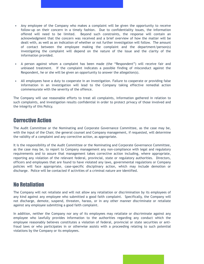- Any employee of the Company who makes a complaint will be given the opportunity to receive follow-up on their concern in a timely fashion. Due to confidentiality issues, the information offered will need to be limited. Beyond such constraints, the response will contain an acknowledgment that the concern was received and a brief overview of how the matter will be dealt with, as well as an indication of whether or not further investigation will follow. The amount of contact between the employee making the complaint and the department/person(s) investigating the complaint will depend on the nature of the issue and the clarity of the information provided.
- A person against whom a complaint has been made (the "Respondent") will receive fair and unbiased treatment. If the complaint indicates a possible finding of misconduct against the Respondent, he or she will be given an opportunity to answer the allegation(s).
- All employees have a duty to cooperate in an investigation. Failure to cooperate or providing false information in an investigation will lead to the Company taking effective remedial action commensurate with the severity of the offence.

The Company will use reasonable efforts to treat all complaints, information gathered in relation to such complaints, and investigation results confidential in order to protect privacy of those involved and the integrity of this Policy.

#### Corrective Action

The Audit Committee or the Nominating and Corporate Governance Committee, as the case may be, with the input of the Chair, the general counsel and Company management, if requested, will determine the validity of a complaint and any corrective action, as appropriate.

It is the responsibility of the Audit Committee or the Nominating and Corporate Governance Committee, as the case may be, to report to Company management any non-compliance with legal and regulatory requirements and to assure that management takes corrective action including, where appropriate, reporting any violation of the relevant federal, provincial, state or regulatory authorities. Directors, officers and employees that are found to have violated any laws, governmental regulations or Company policies will face appropriate, case-specific disciplinary action, which may include demotion or discharge. Police will be contacted if activities of a criminal nature are identified.

#### No Retaliation

The Company will not retaliate and will not allow any retaliation or discrimination by its employees of any kind against any employee who submitted a good faith complaint. Specifically, the Company will not discharge, demote, suspend, threaten, harass, or in any other manner discriminate or retaliate against any employee submitting a good faith complaint.

In addition, neither the Company nor any of its employees may retaliate or discriminate against any employee who lawfully provides information to the authorities regarding any conduct which the employee reasonably believes constitutes a violation of federal, provincial or state securities or antifraud laws or who participates in or otherwise assists with a proceeding relating to such potential violations by the Company or its employees.